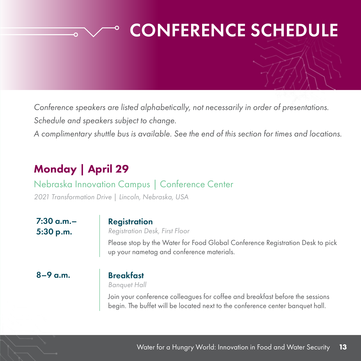# CONFERENCE SCHEDULE

*Conference speakers are listed alphabetically, not necessarily in order of presentations. Schedule and speakers subject to change.*

*A complimentary shuttle bus is available. See the end of this section for times and locations.*

## Monday | April 29

 $\overline{\mathsf{O}}$ 

## Nebraska Innovation Campus | Conference Center

*2021 Transformation Drive | Lincoln, Nebraska, USA*

7:30 a.m.– 5:30 p.m.

#### **Registration**

*Registration Desk, First Floor*

Please stop by the Water for Food Global Conference Registration Desk to pick up your nametag and conference materials.

8–9 a.m. Breakfast

*Banquet Hall*

Join your conference colleagues for coffee and breakfast before the sessions begin. The buffet will be located next to the conference center banquet hall.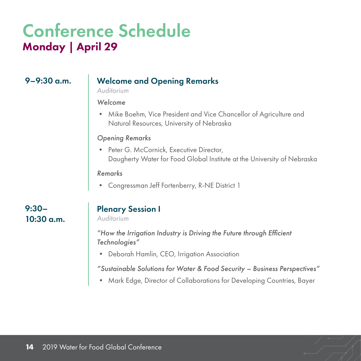### 9–9:30 a.m. Welcome and Opening Remarks

*Auditorium*

#### *Welcome*

• Mike Boehm, Vice President and Vice Chancellor of Agriculture and Natural Resources, University of Nebraska

#### *Opening Remarks*

• Peter G. McCornick, Executive Director, Daugherty Water for Food Global Institute at the University of Nebraska

#### *Remarks*

• Congressman Jeff Fortenberry, R-NE District 1

### 9:30– 10:30 a.m.

## Plenary Session I

*Auditorium*

*"How the Irrigation Industry is Driving the Future through Efficient Technologies"*

*•* Deborah Hamlin, CEO, Irrigation Association

*"Sustainable Solutions for Water & Food Security – Business Perspectives"*

*•* Mark Edge, Director of Collaborations for Developing Countries, Bayer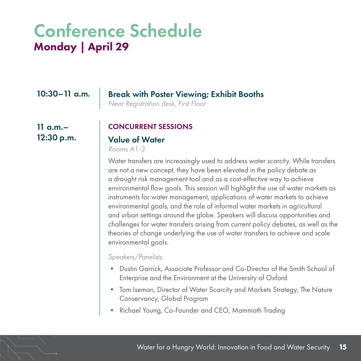## 10:30–11 a.m. Break with Poster Viewing; Exhibit Booths

*Near Registration desk, First Floor*

 $11$  a.m. $-$ 12:30 p.m.

#### CONCURRENT SESSIONS

### Value of Water

*Rooms A1-3*

Water transfers are increasingly used to address water scarcity. While transfers are not a new concept, they have been elevated in the policy debate as a drought risk management tool and as a cost-effective way to achieve environmental flow goals. This session will highlight the use of water markets as instruments for water management, applications of water markets to achieve environmental goals, and the role of informal water markets in agricultural and urban settings around the globe. Speakers will discuss opportunities and challenges for water transfers arising from current policy debates, as well as the theories of change underlying the use of water transfers to achieve and scale environmental goals.

*Speakers/Panelists:*

- Dustin Garrick, Associate Professor and Co-Director of the Smith School of Enterprise and the Environment at the University of Oxford
- Tom Iseman, Director of Water Scarcity and Markets Strategy, The Nature Conservancy, Global Program
- Richael Young, Co-Founder and CEO, Mammoth Trading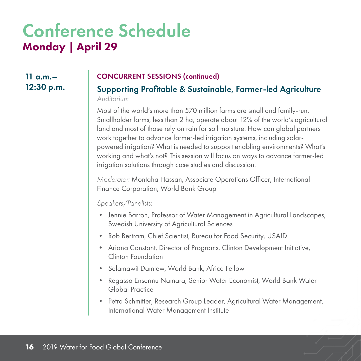11 a.m.– 12:30 p.m.

#### CONCURRENT SESSIONS (continued)

Supporting Profitable & Sustainable, Farmer-led Agriculture *Auditorium*

Most of the world's more than 570 million farms are small and family-run. Smallholder farms, less than 2 ha, operate about 12% of the world's agricultural land and most of those rely on rain for soil moisture. How can global partners work together to advance farmer-led irrigation systems, including solarpowered irrigation? What is needed to support enabling environments? What's working and what's not? This session will focus on ways to advance farmer-led irrigation solutions through case studies and discussion.

*Moderator:* Montaha Hassan, Associate Operations Officer, International Finance Corporation, World Bank Group

*Speakers/Panelists:*

- Jennie Barron, Professor of Water Management in Agricultural Landscapes, Swedish University of Agricultural Sciences
- Rob Bertram, Chief Scientist, Bureau for Food Security, USAID
- Ariana Constant, Director of Programs, Clinton Development Initiative, Clinton Foundation
- Selamawit Damtew, World Bank, Africa Fellow
- Regassa Ensermu Namara, Senior Water Economist, World Bank Water Global Practice
- Petra Schmitter, Research Group Leader, Agricultural Water Management, International Water Management Institute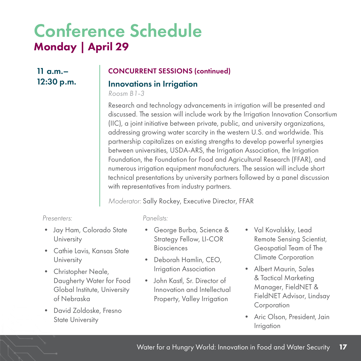$11$  a.m. $-$ 12:30 p.m.

### CONCURRENT SESSIONS (continued)

### Innovations in Irrigation

*Roosm B1-3*

Research and technology advancements in irrigation will be presented and discussed. The session will include work by the Irrigation Innovation Consortium (IIC), a joint initiative between private, public, and university organizations, addressing growing water scarcity in the western U.S. and worldwide. This partnership capitalizes on existing strengths to develop powerful synergies between universities, USDA-ARS, the Irrigation Association, the Irrigation Foundation, the Foundation for Food and Agricultural Research (FFAR), and numerous irrigation equipment manufacturers. The session will include short technical presentations by university partners followed by a panel discussion with representatives from industry partners.

*Moderator:* Sally Rockey, Executive Director, FFAR

#### *Presenters:*

- Jay Ham, Colorado State **University**
- Cathie Lavis, Kansas State **University**
- Christopher Neale, Daugherty Water for Food Global Institute, University of Nebraska
- David Zoldoske, Fresno State University

#### *Panelists:*

- George Burba, Science & Strategy Fellow, LI-COR Biosciences
- Deborah Hamlin, CEO, Irrigation Association
- John Kastl, Sr. Director of Innovation and Intellectual Property, Valley Irrigation
- Val Kovalskky, Lead Remote Sensing Scientist, Geospatial Team of The Climate Corporation
- Albert Maurin, Sales & Tactical Marketing Manager, FieldNET & FieldNET Advisor, Lindsay Corporation
- Aric Olson, President, Jain Irrigation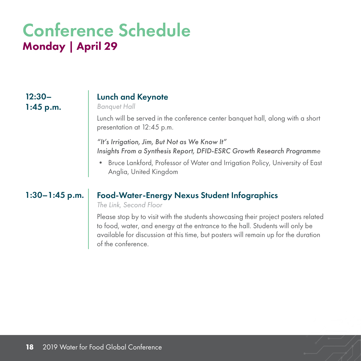12:30– 1:45 p.m.

### Lunch and Keynote

*Banquet Hall*

Lunch will be served in the conference center banquet hall, along with a short presentation at 12:45 p.m.

*"It's Irrigation, Jim, But Not as We Know It" Insights From a Synthesis Report, DFID-ESRC Growth Research Programme*

• Bruce Lankford, Professor of Water and Irrigation Policy, University of East Anglia, United Kingdom

### 1:30–1:45 p.m. | Food-Water-Energy Nexus Student Infographics

*The Link, Second Floor*

Please stop by to visit with the students showcasing their project posters related to food, water, and energy at the entrance to the hall. Students will only be available for discussion at this time, but posters will remain up for the duration of the conference.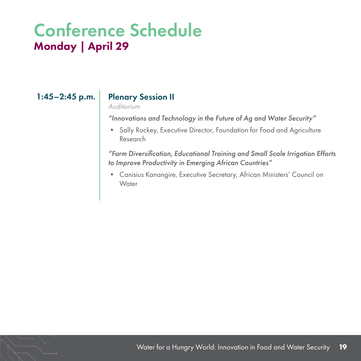### 1:45–2:45 p.m. | Plenary Session II

#### *Auditorium*

*"Innovations and Technology in the Future of Ag and Water Security"*

• Sally Rockey, Executive Director, Foundation for Food and Agriculture Research

*"Farm Diversification, Educational Training and Small Scale Irrigation Efforts to Improve Productivity in Emerging African Countries"*

• Canisius Kanangire, Executive Secretary, African Ministers' Council on **Water**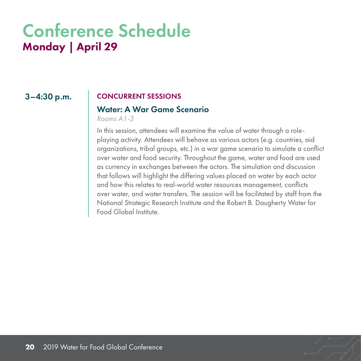#### 3–4:30 p.m. CONCURRENT SESSIONS

### Water: A War Game Scenario

*Rooms A1-3*

In this session, attendees will examine the value of water through a roleplaying activity. Attendees will behave as various actors (e.g. countries, aid organizations, tribal groups, etc.) in a war game scenario to simulate a conflict over water and food security. Throughout the game, water and food are used as currency in exchanges between the actors. The simulation and discussion that follows will highlight the differing values placed on water by each actor and how this relates to real-world water resources management, conflicts over water, and water transfers. The session will be facilitated by staff from the National Strategic Research Institute and the Robert B. Daugherty Water for Food Global Institute.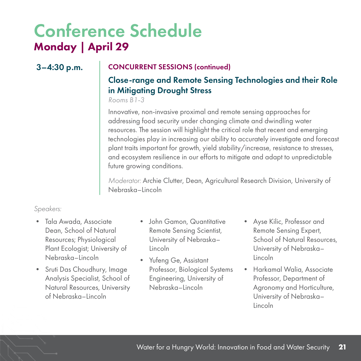### 3–4:30 p.m. CONCURRENT SESSIONS (continued)

## Close-range and Remote Sensing Technologies and their Role in Mitigating Drought Stress

*Rooms B1-3*

Innovative, non-invasive proximal and remote sensing approaches for addressing food security under changing climate and dwindling water resources. The session will highlight the critical role that recent and emerging technologies play in increasing our ability to accurately investigate and forecast plant traits important for growth, yield stability/increase, resistance to stresses, and ecosystem resilience in our efforts to mitigate and adapt to unpredictable future growing conditions.

*Moderator:* Archie Clutter, Dean, Agricultural Research Division, University of Nebraska–Lincoln

#### *Speakers:*

- Tala Awada, Associate Dean, School of Natural Resources; Physiological Plant Ecologist; University of Nebraska–Lincoln
- Sruti Das Choudhury, Image Analysis Specialist, School of Natural Resources, University of Nebraska–Lincoln
- John Gamon, Quantitative Remote Sensing Scientist, University of Nebraska– Lincoln
- Yufeng Ge, Assistant Professor, Biological Systems Engineering, University of Nebraska–Lincoln
- Ayse Kilic, Professor and Remote Sensing Expert, School of Natural Resources, University of Nebraska– Lincoln
- Harkamal Walia, Associate Professor, Department of Agronomy and Horticulture, University of Nebraska– Lincoln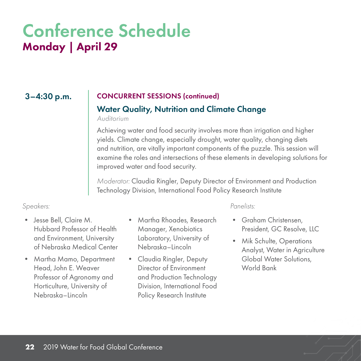#### 3–4:30 p.m. CONCURRENT SESSIONS (continued)

### Water Quality, Nutrition and Climate Change

*Auditorium*

Achieving water and food security involves more than irrigation and higher yields. Climate change, especially drought, water quality, changing diets and nutrition, are vitally important components of the puzzle. This session will examine the roles and intersections of these elements in developing solutions for improved water and food security.

*Moderator:* Claudia Ringler, Deputy Director of Environment and Production Technology Division, International Food Policy Research Institute

#### *Speakers: Panelists:*

- Jesse Bell, Claire M. Hubbard Professor of Health and Environment, University of Nebraska Medical Center
- Martha Mamo, Department Head, John E. Weaver Professor of Agronomy and Horticulture, University of Nebraska–Lincoln
- Martha Rhoades, Research Manager, Xenobiotics Laboratory, University of Nebraska–Lincoln
- Claudia Ringler, Deputy Director of Environment and Production Technology Division, International Food Policy Research Institute

- Graham Christensen President, GC Resolve, LLC
- Mik Schulte, Operations Analyst, Water in Agriculture Global Water Solutions, World Bank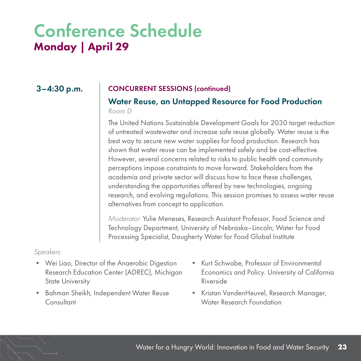### 3–4:30 p.m. CONCURRENT SESSIONS (continued)

### Water Reuse, an Untapped Resource for Food Production

#### *Room D*

The United Nations Sustainable Development Goals for 2030 target reduction of untreated wastewater and increase safe reuse globally. Water reuse is the best way to secure new water supplies for food production. Research has shown that water reuse can be implemented safely and be cost-effective. However, several concerns related to risks to public health and community perceptions impose constraints to move forward. Stakeholders from the academia and private sector will discuss how to face these challenges, understanding the opportunities offered by new technologies, ongoing research, and evolving regulations. This session promises to assess water reuse alternatives from concept to application.

*Moderator:* Yulie Meneses, Research Assistant Professor, Food Science and Technology Department, University of Nebraska–Lincoln; Water for Food Processing Specialist, Daugherty Water for Food Global Institute

#### *Speakers:*

- Wei Liao, Director of the Anaerobic Digestion Research Education Center (ADREC), Michigan State University
- Bahman Sheikh, Independent Water Reuse **Consultant**
- Kurt Schwabe, Professor of Environmental Economics and Policy. University of California Riverside
- Kristan VandenHeuvel, Research Manager, Water Research Foundation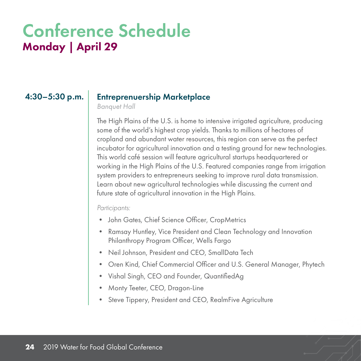#### 4:30–5:30 p.m. Entreprenuership Marketplace

*Banquet Hall*

The High Plains of the U.S. is home to intensive irrigated agriculture, producing some of the world's highest crop yields. Thanks to millions of hectares of cropland and abundant water resources, this region can serve as the perfect incubator for agricultural innovation and a testing ground for new technologies. This world café session will feature agricultural startups headquartered or working in the High Plains of the U.S. Featured companies range from irrigation system providers to entrepreneurs seeking to improve rural data transmission. Learn about new agricultural technologies while discussing the current and future state of agricultural innovation in the High Plains.

*Participants:*

- John Gates, Chief Science Officer, CropMetrics
- Ramsay Huntley, Vice President and Clean Technology and Innovation Philanthropy Program Officer, Wells Fargo
- Neil Johnson, President and CEO, SmallData Tech
- Oren Kind, Chief Commercial Officer and U.S. General Manager, Phytech
- Vishal Singh, CEO and Founder, QuantifiedAg
- Monty Teeter, CEO, Dragon-Line
- Steve Tippery, President and CEO, RealmFive Agriculture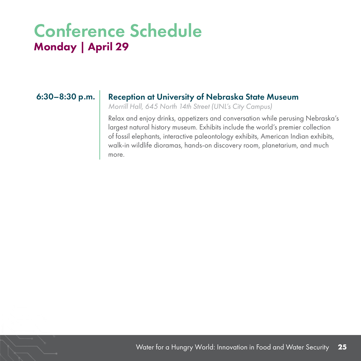### 6:30–8:30 p.m. | Reception at University of Nebraska State Museum

*Morrill Hall, 645 North 14th Street (UNL's City Campus)*

Relax and enjoy drinks, appetizers and conversation while perusing Nebraska's largest natural history museum. Exhibits include the world's premier collection of fossil elephants, interactive paleontology exhibits, American Indian exhibits, walk-in wildlife dioramas, hands-on discovery room, planetarium, and much more.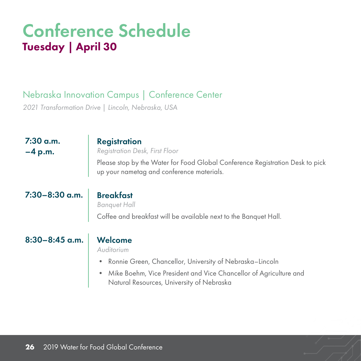## Nebraska Innovation Campus | Conference Center

*2021 Transformation Drive | Lincoln, Nebraska, USA*

| 7:30 a.m.<br>$-4 p.m.$ | <b>Registration</b><br>Registration Desk, First Floor<br>Please stop by the Water for Food Global Conference Registration Desk to pick<br>up your nametag and conference materials.                                   |
|------------------------|-----------------------------------------------------------------------------------------------------------------------------------------------------------------------------------------------------------------------|
| 7:30-8:30 a.m.         | <b>Breakfast</b><br><b>Banquet Hall</b><br>Coffee and breakfast will be available next to the Banquet Hall.                                                                                                           |
| 8:30-8:45 a.m.         | Welcome<br>Auditorium<br>Ronnie Green, Chancellor, University of Nebraska-Lincoln<br>٠<br>Mike Boehm, Vice President and Vice Chancellor of Agriculture and<br>$\bullet$<br>Natural Resources, University of Nebraska |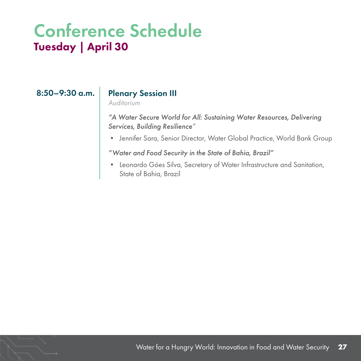### 8:50-9:30 a.m. | Plenary Session III

*Auditorium*

*"A Water Secure World for All: Sustaining Water Resources, Delivering Services, Building Resilience"*

• Jennifer Sara, Senior Director, Water Global Practice, World Bank Group

*"Water and Food Security in the State of Bahia, Brazil"*

• Leonardo Góes Silva, Secretary of Water Infrastructure and Sanitation, State of Bahia, Brazil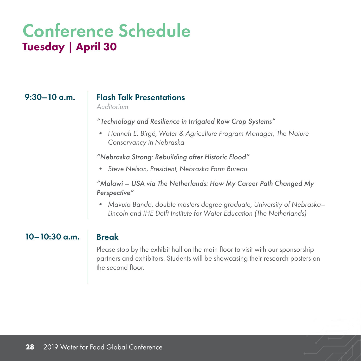### 9:30–10 a.m. Flash Talk Presentations

*Auditorium*

*"Technology and Resilience in Irrigated Row Crop Systems"* 

*• Hannah E. Birgé, Water & Agriculture Program Manager, The Nature Conservancy in Nebraska*

*"Nebraska Strong: Rebuilding after Historic Flood"*

*• Steve Nelson, President, Nebraska Farm Bureau*

*"Malawi – USA via The Netherlands: How My Career Path Changed My Perspective"*

*• Mavuto Banda, double masters degree graduate, University of Nebraska– Lincoln and IHE Delft Institute for Water Education (The Netherlands)*

### $10-10:30$  a.m. Break

Please stop by the exhibit hall on the main floor to visit with our sponsorship partners and exhibitors. Students will be showcasing their research posters on the second floor.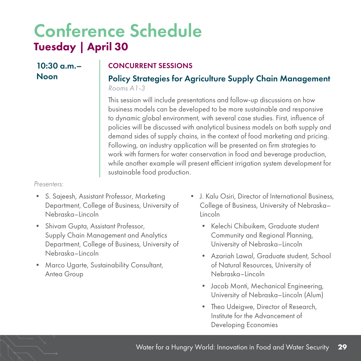$10:30$  a.m. – Noon

### CONCURRENT SESSIONS

### Policy Strategies for Agriculture Supply Chain Management *Rooms A1-3*

This session will include presentations and follow-up discussions on how business models can be developed to be more sustainable and responsive to dynamic global environment, with several case studies. First, influence of policies will be discussed with analytical business models on both supply and demand sides of supply chains, in the context of food marketing and pricing. Following, an industry application will be presented on firm strategies to work with farmers for water conservation in food and beverage production, while another example will present efficient irrigation system development for sustainable food production.

*Presenters:*

- S. Sajeesh, Assistant Professor, Marketing Department, College of Business, University of Nebraska–Lincoln
- Shivam Gupta, Assistant Professor, Supply Chain Management and Analytics Department, College of Business, University of Nebraska–Lincoln
- Marco Ugarte, Sustainability Consultant, Antea Group
- J. Kalu Osiri, Director of International Business, College of Business, University of Nebraska– Lincoln
	- Kelechi Chibuikem, Graduate student Community and Regional Planning, University of Nebraska–Lincoln
	- Azariah Lawal, Graduate student, School of Natural Resources, University of Nebraska–Lincoln
	- Jacob Monti, Mechanical Engineering, University of Nebraska–Lincoln (Alum)
	- Theo Udeigwe, Director of Research, Institute for the Advancement of Developing Economies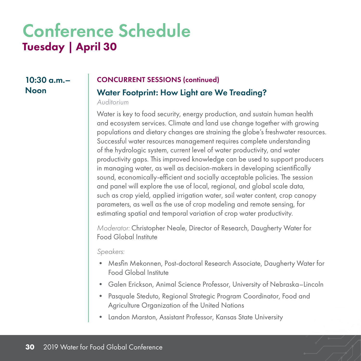## $10:30$  a.m. $-$ Noon

#### CONCURRENT SESSIONS (continued)

### Water Footprint: How Light are We Treading?

*Auditorium*

Water is key to food security, energy production, and sustain human health and ecosystem services. Climate and land use change together with growing populations and dietary changes are straining the globe's freshwater resources. Successful water resources management requires complete understanding of the hydrologic system, current level of water productivity, and water productivity gaps. This improved knowledge can be used to support producers in managing water, as well as decision-makers in developing scientifically sound, economically-efficient and socially acceptable policies. The session and panel will explore the use of local, regional, and global scale data, such as crop yield, applied irrigation water, soil water content, crop canopy parameters, as well as the use of crop modeling and remote sensing, for estimating spatial and temporal variation of crop water productivity.

*Moderator:* Christopher Neale, Director of Research, Daugherty Water for Food Global Institute

*Speakers:*

- Mesfin Mekonnen, Post-doctoral Research Associate, Daugherty Water for Food Global Institute
- Galen Erickson, Animal Science Professor, University of Nebraska–Lincoln
- Pasquale Steduto, Regional Strategic Program Coordinator, Food and Agriculture Organization of the United Nations
- Landon Marston, Assistant Professor, Kansas State University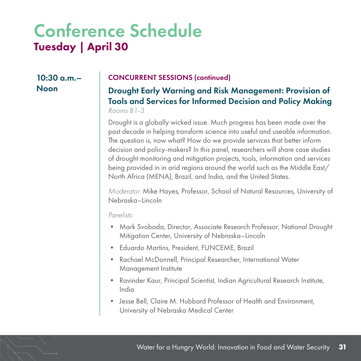$10:30$  a.m. $-$ Noon

#### CONCURRENT SESSIONS (continued)

#### Drought Early Warning and Risk Management: Provision of Tools and Services for Informed Decision and Policy Making *Rooms B1-3*

Drought is a globally wicked issue. Much progress has been made over the past decade in helping transform science into useful and useable information. The question is, now what? How do we provide services that better inform decision and policy-makers? In this panel, researchers will share case studies of drought monitoring and mitigation projects, tools, information and services being provided in in arid regions around the world such as the Middle East/ North Africa (MENA), Brazil, and India, and the United States.

*Moderator:* Mike Hayes, Professor, School of Natural Resources, University of Nebraska–Lincoln

*Panelists:*

- Mark Svoboda, Director, Associate Research Professor, National Drought Mitigation Center, University of Nebraska–Lincoln
- Eduardo Martins, President, FUNCEME, Brazil
- Rachael McDonnell, Principal Researcher, International Water Management Institute
- Ravinder Kaur, Principal Scientist, Indian Agricultural Research Institute, India
- Jesse Bell, Claire M. Hubbard Professor of Health and Environment, University of Nebraska Medical Center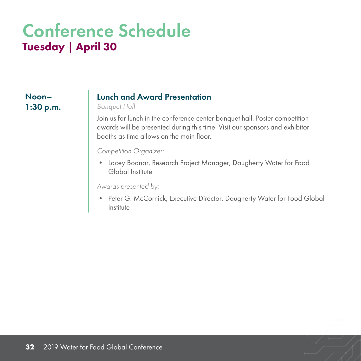### Noon– 1:30 p.m.

### Lunch and Award Presentation

*Banquet Hall*

Join us for lunch in the conference center banquet hall. Poster competition awards will be presented during this time. Visit our sponsors and exhibitor booths as time allows on the main floor.

*Competition Organizer:*

• Lacey Bodnar, Research Project Manager, Daugherty Water for Food Global Institute

*Awards presented by:*

• Peter G. McCornick, Executive Director, Daugherty Water for Food Global **Institute**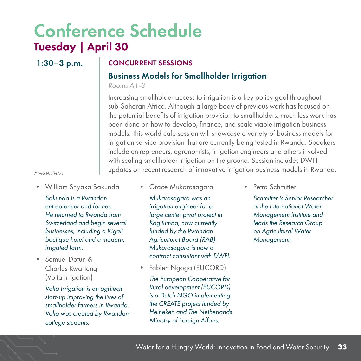### 1:30–3 p.m. CONCURRENT SESSIONS

### Business Models for Smallholder Irrigation

*Rooms A1-3*

Increasing smallholder access to irrigation is a key policy goal throughout sub-Saharan Africa. Although a large body of previous work has focused on the potential benefits of irrigation provision to smallholders, much less work has been done on how to develop, finance, and scale viable irrigation business models. This world café session will showcase a variety of business models for irrigation service provision that are currently being tested in Rwanda. Speakers include entrepreneurs, agronomists, irrigation engineers and others involved with scaling smallholder irrigation on the ground. Session includes DWFI updates on recent research of innovative irrigation business models in Rwanda.

#### *Presenters:*

- William Shyaka Bakunda *Bakunda is a Rwandan entreprenuer and farmer. He returned to Rwanda from Switzerland and begin several businesses, including a Kigali boutique hotel and a modern, irrigated farm.*
- Samuel Dotun & Charles Kwarteng (Volta Irrigation)

*Volta Irrigation is an agritech start-up improving the lives of smallholder farmers in Rwanda. Volta was created by Rwandan college students.*

• Grace Mukarasagara

*Mukarasagara was an irrigation engineer for a large center pivot project in Kagitumba, now currently funded by the Rwandan Agricultural Board (RAB). Mukarasagara is now a contract consultant with DWFI.*

• Fabien Ngoga (EUCORD)

*The European Cooperative for Rural development (EUCORD) is a Dutch NGO implementing the CREATE project funded by Heineken and The Netherlands Ministry of Foreign Affairs.*

• Petra Schmitter

*Schmitter is Senior Researcher at the International Water Management Institute and leads the Research Group on Agricultural Water Management.*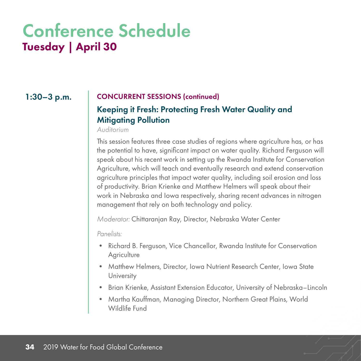#### 1:30–3 p.m. CONCURRENT SESSIONS (continued)

### Keeping it Fresh: Protecting Fresh Water Quality and Mitigating Pollution

*Auditorium*

This session features three case studies of regions where agriculture has, or has the potential to have, significant impact on water quality. Richard Ferguson will speak about his recent work in setting up the Rwanda Institute for Conservation Agriculture, which will teach and eventually research and extend conservation agriculture principles that impact water quality, including soil erosion and loss of productivity. Brian Krienke and Matthew Helmers will speak about their work in Nebraska and Iowa respectively, sharing recent advances in nitrogen management that rely on both technology and policy.

*Moderator:* Chittaranjan Ray, Director, Nebraska Water Center

*Panelists:*

- Richard B. Ferguson, Vice Chancellor, Rwanda Institute for Conservation **Agriculture**
- Matthew Helmers, Director, Iowa Nutrient Research Center, Iowa State University
- Brian Krienke, Assistant Extension Educator, University of Nebraska–Lincoln
- Martha Kauffman, Managing Director, Northern Great Plains, World Wildlife Fund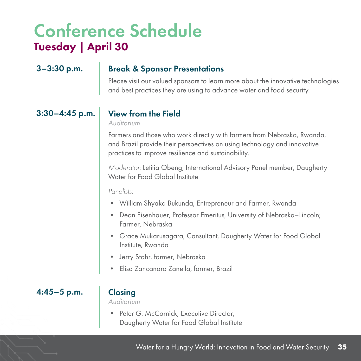### 3–3:30 p.m. Break & Sponsor Presentations

Please visit our valued sponsors to learn more about the innovative technologies and best practices they are using to advance water and food security.

### $3:30-4:45$  p.m. View from the Field

*Auditorium*

Farmers and those who work directly with farmers from Nebraska, Rwanda, and Brazil provide their perspectives on using technology and innovative practices to improve resilience and sustainability.

*Moderator:* Letitia Obeng, International Advisory Panel member, Daugherty Water for Food Global Institute

*Panelists:*

- William Shyaka Bukunda, Entrepreneur and Farmer, Rwanda
- Dean Eisenhauer, Professor Emeritus, University of Nebraska–Lincoln; Farmer, Nebraska
- Grace Mukarusagara, Consultant, Daugherty Water for Food Global Institute, Rwanda
- Jerry Stahr, farmer, Nebraska
- Elisa Zancanaro Zanella, farmer, Brazil

4:45–5 p.m. Closing

*Auditorium*

• Peter G. McCornick, Executive Director, Daugherty Water for Food Global Institute